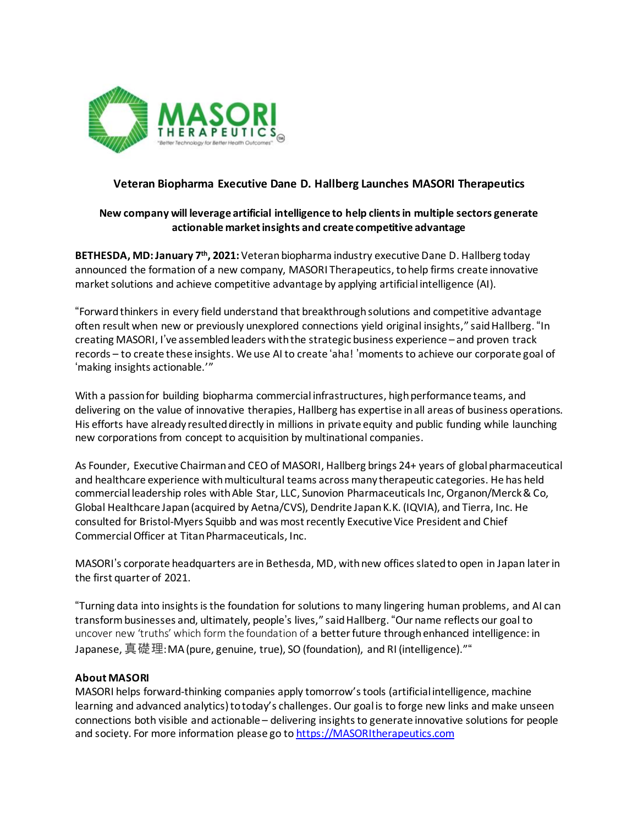

## **Veteran Biopharma Executive Dane D. Hallberg Launches MASORI Therapeutics**

## **New company will leverage artificial intelligence to help clientsin multiple sectors generate actionable marketinsights and create competitive advantage**

**BETHESDA, MD:January 7 th , 2021:** Veteranbiopharma industry executiveDane D. Hallberg today announced the formation of a new company, MASORI Therapeutics, tohelp firms create innovative market solutions and achieve competitive advantage by applying artificial intelligence (AI).

"Forwardthinkers in every field understand that breakthroughsolutions and competitive advantage often result when new or previously unexplored connections yield original insights," saidHallberg. "In creating MASORI, I've assembledleaders withthe strategic business experience – and proven track records – to create these insights. We use AI to create 'aha! 'momentsto achieve our corporate goal of 'making insights actionable.'"

With a passion for building biopharma commercial infrastructures, high performance teams, and delivering on the value of innovative therapies, Hallberg has expertise inall areas of business operations. His efforts have already resulteddirectly in millions in private equity and public funding while launching new corporations from concept to acquisition by multinational companies.

As Founder, Executive Chairman and CEO of MASORI, Hallberg brings 24+ years of global pharmaceutical and healthcare experience withmulticultural teams across many therapeutic categories. He has held commercial leadership roles with Able Star, LLC, Sunovion Pharmaceuticals Inc, Organon/Merck & Co, Global Healthcare Japan(acquired by Aetna/CVS), Dendrite JapanK.K. (IQVIA), and Tierra, Inc. He consulted for Bristol-Myers Squibb and was most recently Executive Vice President and Chief CommercialOfficer at TitanPharmaceuticals, Inc.

MASORI's corporate headquarters are in Bethesda, MD, withnew officesslatedto open in Japan laterin the first quarter of 2021.

"Turning data into insightsisthe foundation for solutions to many lingering human problems, and AI can transformbusinesses and, ultimately, people's lives," saidHallberg. "Our name reflects our goal to uncover new 'truths' which form the foundation of a betterfuture throughenhanced intelligence: in Japanese, 真礎理:MA(pure, genuine, true), SO (foundation), and RI (intelligence).""

## **About MASORI**

MASORI helps forward-thinking companies apply tomorrow'stools (artificial intelligence, machine learning and advanced analytics) to today's challenges. Our goal is to forge new links and make unseen connections both visible and actionable – delivering insights to generate innovative solutions for people and society. For more information please go to [https://MASORItherapeutics.com](https://masoritherapeutics.com/)